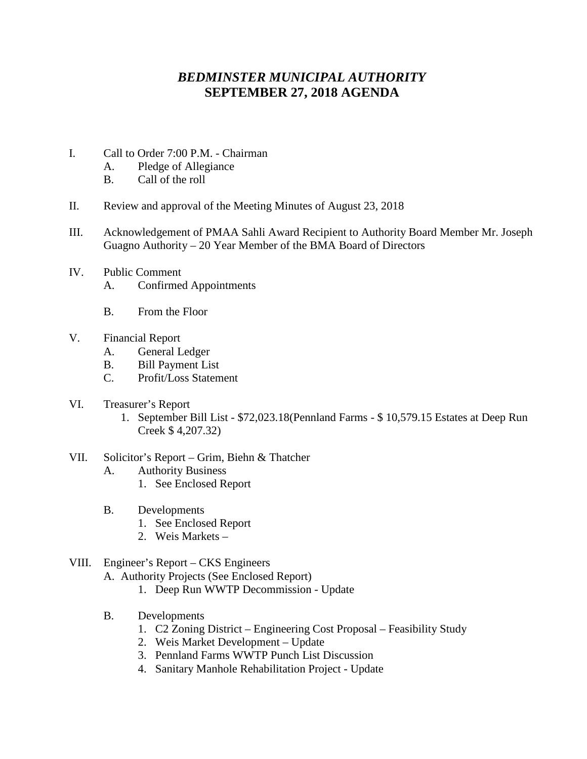## *BEDMINSTER MUNICIPAL AUTHORITY* **SEPTEMBER 27, 2018 AGENDA**

- I. Call to Order 7:00 P.M. Chairman
	- A. Pledge of Allegiance
	- B. Call of the roll
- II. Review and approval of the Meeting Minutes of August 23, 2018
- III. Acknowledgement of PMAA Sahli Award Recipient to Authority Board Member Mr. Joseph Guagno Authority – 20 Year Member of the BMA Board of Directors
- IV. Public Comment A. Confirmed Appointments
	- B. From the Floor
- V. Financial Report
	- A. General Ledger
	- B. Bill Payment List
	- C. Profit/Loss Statement
- VI. Treasurer's Report
	- 1. September Bill List \$72,023.18(Pennland Farms \$ 10,579.15 Estates at Deep Run Creek \$ 4,207.32)
- VII. Solicitor's Report Grim, Biehn & Thatcher
	- A. Authority Business
		- 1. See Enclosed Report
	- B. Developments
		- 1. See Enclosed Report
		- 2. Weis Markets –

## VIII. Engineer's Report – CKS Engineers

- A. Authority Projects (See Enclosed Report)
	- 1. Deep Run WWTP Decommission Update
- B. Developments
	- 1. C2 Zoning District Engineering Cost Proposal Feasibility Study
	- 2. Weis Market Development Update
	- 3. Pennland Farms WWTP Punch List Discussion
	- 4. Sanitary Manhole Rehabilitation Project Update